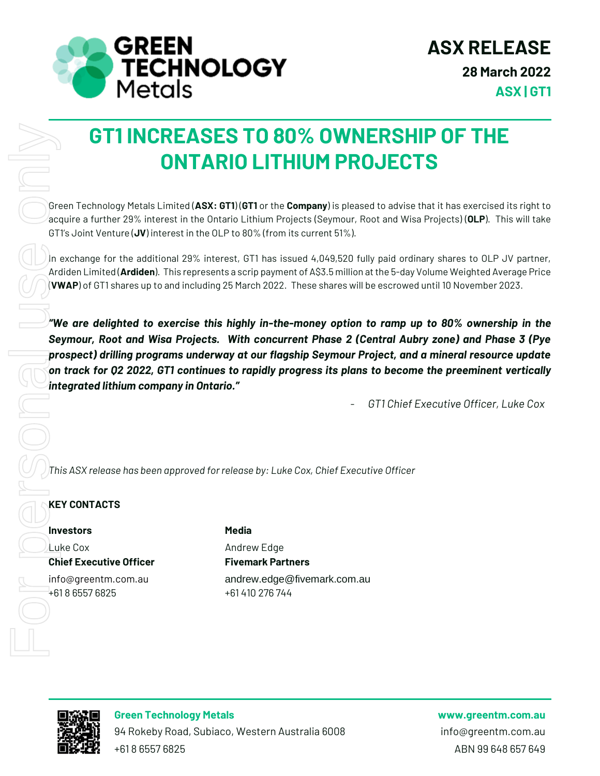

# **GT1 INCREASES TO 80% OWNERSHIP OF THE ONTARIO LITHIUM PROJECTS**

Green Technology Metals Limited (**ASX: GT1**) (**GT1** or the **Company**) is pleased to advise that it has exercised its right to acquire a further 29% interest in the Ontario Lithium Projects (Seymour, Root and Wisa Projects) (**OLP**). This will take GT1's Joint Venture (**JV**) interest in the OLP to 80% (from its current 51%).

In exchange for the additional 29% interest, GT1 has issued 4,049,520 fully paid ordinary shares to OLP JV partner, Ardiden Limited (**Ardiden**). This represents a scrip payment of A\$3.5 million at the 5-day Volume Weighted Average Price (**VWAP**) of GT1 shares up to and including 25 March 2022. These shares will be escrowed until 10 November 2023.

*"We are delighted to exercise this highly in-the-money option to ramp up to 80% ownership in the Seymour, Root and Wisa Projects. With concurrent Phase 2 (Central Aubry zone) and Phase 3 (Pye prospect) drilling programs underway at our flagship Seymour Project, and a mineral resource update on track for Q2 2022, GT1 continues to rapidly progress its plans to become the preeminent vertically integrated lithium company in Ontario."* **GT1 INCREASES TO 80**<br> **CONTARIO LITH**<br> **Contained the acquire a further 29% interest in the Ontario Lithium Projection**<br> **CONTARIO 2018**<br> **Contained to the additional 29% interest, GT1 has issued and including 25 March 20** 

- *GT1 Chief Executive Officer, Luke Cox*

*This ASX release has been approved for release by: Luke Cox, Chief Executive Officer*

#### **KEY CONTACTS**

**Investors Media**

**Chief Executive Officer Fivemark Partners**

Luke Cox **Andrew Edge** 

info@greentm.com.au andrew.edge@fivemark.com.au



**Green Technology Metals www.greentm.com.au**

94 Rokeby Road, Subiaco, Western Australia 6008 info@greentm.com.au +61 8 6557 6825 ABN 99 648 657 649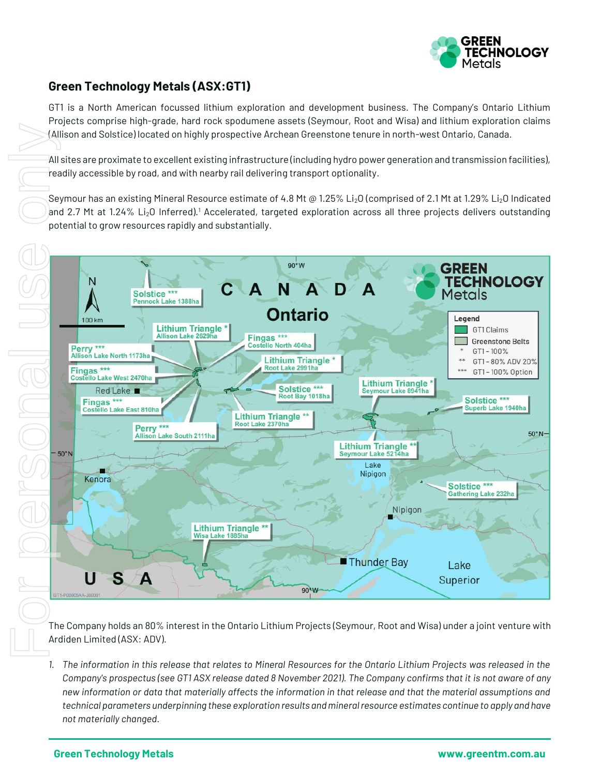

# **Green Technology Metals (ASX:GT1)**

GT1 is a North American focussed lithium exploration and development business. The Company's Ontario Lithium Projects comprise high-grade, hard rock spodumene assets (Seymour, Root and Wisa) and lithium exploration claims (Allison and Solstice) located on highly prospective Archean Greenstone tenure in north-west Ontario, Canada.

All sites are proximate to excellent existing infrastructure (including hydro power generation and transmission facilities), readily accessible by road, and with nearby rail delivering transport optionality.

Seymour has an existing Mineral Resource estimate of 4.8 Mt @ 1.25% Li<sub>2</sub>O (comprised of 2.1 Mt at 1.29% Li<sub>2</sub>O Indicated and 2.7 Mt at 1.24% Li<sub>2</sub>O Inferred).<sup>1</sup> Accelerated, targeted exploration across all three projects delivers outstanding potential to grow resources rapidly and substantially.



The Company holds an 80% interest in the Ontario Lithium Projects (Seymour, Root and Wisa) under a joint venture with Ardiden Limited (ASX: ADV).

*1. The information in this release that relates to Mineral Resources for the Ontario Lithium Projects was released in the Company's prospectus (see GT1 ASX release dated 8 November 2021). The Company confirms that it is not aware of any new information or data that materially affects the information in that release and that the material assumptions and technical parameters underpinning these exploration results and mineral resource estimates continue to apply and have not materially changed.*